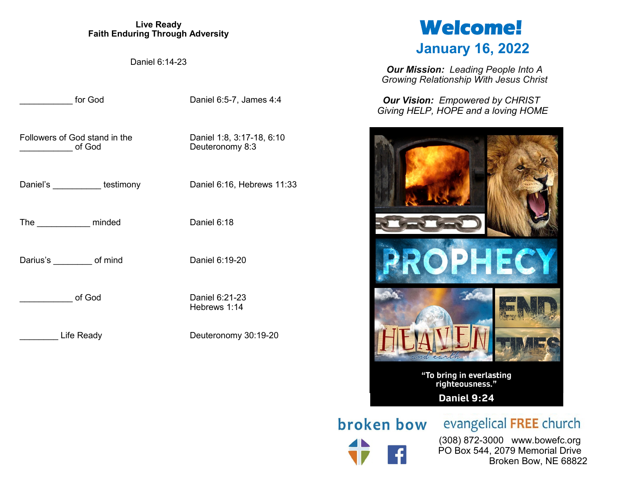#### **Live Ready Faith Enduring Through Adversity**

Daniel 6:14-23

for God Daniel 6:5-7, James 4:4

Followers of God stand in the Daniel 1:8, 3:17-18, 6:10 of God Deuteronomy 8:3

Daniel's **Daniel's** testimony Daniel 6:16, Hebrews 11:33

The minded Daniel 6:18

Darius's of mind Daniel 6:19-20

of God Daniel 6:21-23

Life Ready Deuteronomy 30:19-20

Hebrews 1:14

# **Welcome! January 16, 2022**

*Our Mission: Leading People Into A Growing Relationship With Jesus Christ*

*Our Vision: Empowered by CHRIST Giving HELP, HOPE and a loving HOME*



**broken bow** evangelical FREE church

 (308) 872-3000 www.bowefc.org PO Box 544, 2079 Memorial Drive Broken Bow, NE 68822